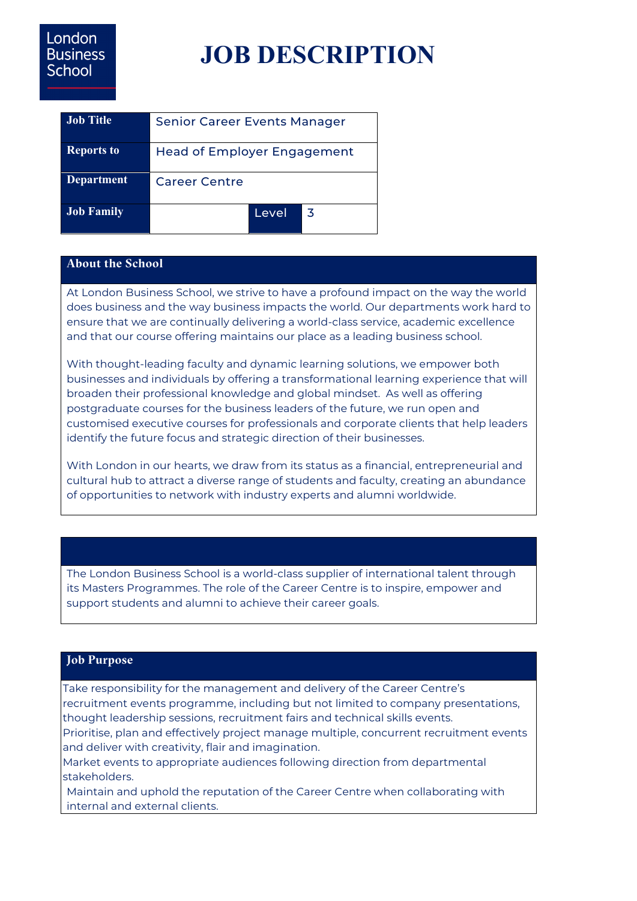# London **Business School**

# **JOB DESCRIPTION**

| <b>Job Title</b>  | Senior Career Events Manager       |       |    |
|-------------------|------------------------------------|-------|----|
| <b>Reports to</b> | <b>Head of Employer Engagement</b> |       |    |
| <b>Department</b> | Career Centre                      |       |    |
| <b>Job Family</b> |                                    | Level | .3 |

## **About the School**

At London Business School, we strive to have a profound impact on the way the world does business and the way business impacts the world. Our departments work hard to ensure that we are continually delivering a world-class service, academic excellence and that our course offering maintains our place as a leading business school.

With thought-leading faculty and dynamic learning solutions, we empower both businesses and individuals by offering a transformational learning experience that will broaden their professional knowledge and global mindset. As well as offering postgraduate courses for the business leaders of the future, we run open and customised executive courses for professionals and corporate clients that help leaders identify the future focus and strategic direction of their businesses.

With London in our hearts, we draw from its status as a financial, entrepreneurial and cultural hub to attract a diverse range of students and faculty, creating an abundance of opportunities to network with industry experts and alumni worldwide.

The London Business School is a world-class supplier of international talent through its Masters Programmes. The role of the Career Centre is to inspire, empower and support students and alumni to achieve their career goals.

### **Job Purpose**

Take responsibility for the management and delivery of the Career Centre's recruitment events programme, including but not limited to company presentations, thought leadership sessions, recruitment fairs and technical skills events.

Prioritise, plan and effectively project manage multiple, concurrent recruitment events and deliver with creativity, flair and imagination.

Market events to appropriate audiences following direction from departmental stakeholders.

Maintain and uphold the reputation of the Career Centre when collaborating with internal and external clients.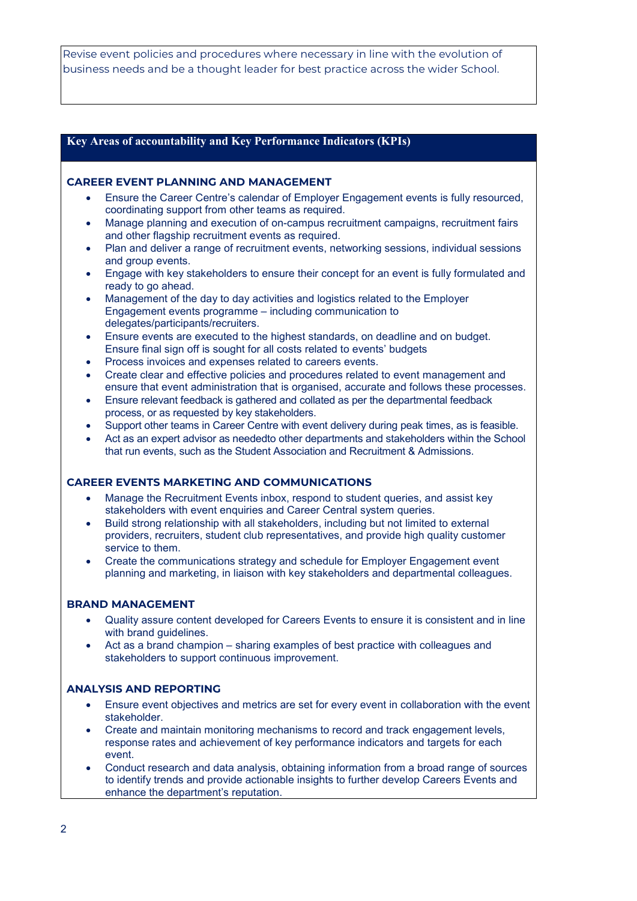Revise event policies and procedures where necessary in line with the evolution of business needs and be a thought leader for best practice across the wider School.

#### **Key Areas of accountability and Key Performance Indicators (KPIs)**

#### **CAREER EVENT PLANNING AND MANAGEMENT**

- Ensure the Career Centre's calendar of Employer Engagement events is fully resourced, coordinating support from other teams as required.
- Manage planning and execution of on-campus recruitment campaigns, recruitment fairs and other flagship recruitment events as required.
- Plan and deliver a range of recruitment events, networking sessions, individual sessions and group events.
- Engage with key stakeholders to ensure their concept for an event is fully formulated and ready to go ahead.
- Management of the day to day activities and logistics related to the Employer Engagement events programme – including communication to delegates/participants/recruiters.
- Ensure events are executed to the highest standards, on deadline and on budget. Ensure final sign off is sought for all costs related to events' budgets
- Process invoices and expenses related to careers events.
- Create clear and effective policies and procedures related to event management and ensure that event administration that is organised, accurate and follows these processes.
- Ensure relevant feedback is gathered and collated as per the departmental feedback process, or as requested by key stakeholders.
- Support other teams in Career Centre with event delivery during peak times, as is feasible.
- Act as an expert advisor as neededto other departments and stakeholders within the School that run events, such as the Student Association and Recruitment & Admissions.

#### **CAREER EVENTS MARKETING AND COMMUNICATIONS**

- Manage the Recruitment Events inbox, respond to student queries, and assist key stakeholders with event enquiries and Career Central system queries.
- Build strong relationship with all stakeholders, including but not limited to external providers, recruiters, student club representatives, and provide high quality customer service to them.
- Create the communications strategy and schedule for Employer Engagement event planning and marketing, in liaison with key stakeholders and departmental colleagues.

#### **BRAND MANAGEMENT**

- Quality assure content developed for Careers Events to ensure it is consistent and in line with brand guidelines.
- Act as a brand champion sharing examples of best practice with colleagues and stakeholders to support continuous improvement.

#### **ANALYSIS AND REPORTING**

- Ensure event objectives and metrics are set for every event in collaboration with the event stakeholder.
- Create and maintain monitoring mechanisms to record and track engagement levels, response rates and achievement of key performance indicators and targets for each event.
- Conduct research and data analysis, obtaining information from a broad range of sources to identify trends and provide actionable insights to further develop Careers Events and enhance the department's reputation.